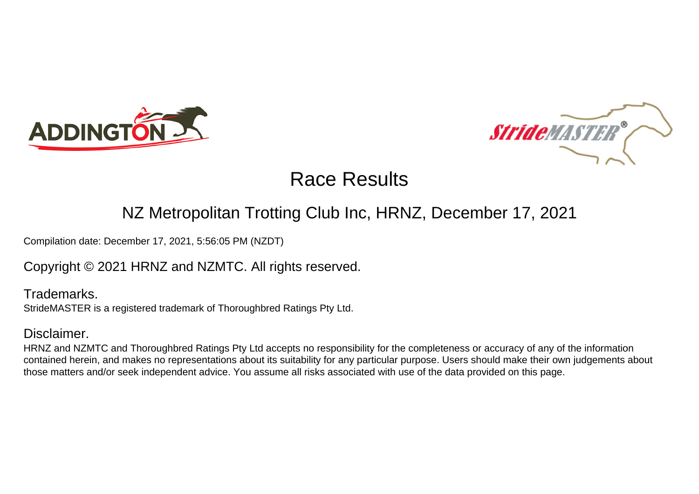



### NZ Metropolitan Trotting Club Inc, HRNZ, December 17, 2021

Compilation date: December 17, 2021, 5:56:05 PM (NZDT)

Copyright © 2021 HRNZ and NZMTC. All rights reserved.

Trademarks. StrideMASTER is a registered trademark of Thoroughbred Ratings Pty Ltd.

### Disclaimer.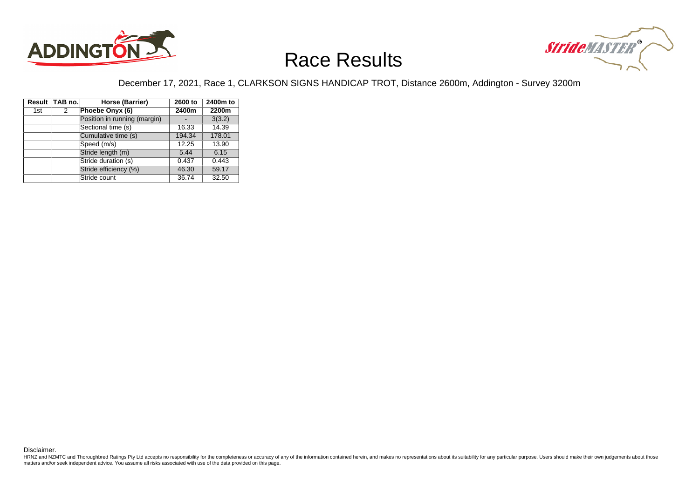



#### December 17, 2021, Race 1, CLARKSON SIGNS HANDICAP TROT, Distance 2600m, Addington - Survey 3200m

|     | Result TAB no. | Horse (Barrier)              | 2600 to | 2400m to |
|-----|----------------|------------------------------|---------|----------|
| 1st | 2              | Phoebe Onyx (6)              | 2400m   | 2200m    |
|     |                | Position in running (margin) |         | 3(3.2)   |
|     |                | Sectional time (s)           | 16.33   | 14.39    |
|     |                | Cumulative time (s)          | 194.34  | 178.01   |
|     |                | Speed (m/s)                  | 12.25   | 13.90    |
|     |                | Stride length (m)            | 5.44    | 6.15     |
|     |                | Stride duration (s)          | 0.437   | 0.443    |
|     |                | Stride efficiency (%)        | 46.30   | 59.17    |
|     |                | Stride count                 | 36.74   | 32.50    |

Disclaimer.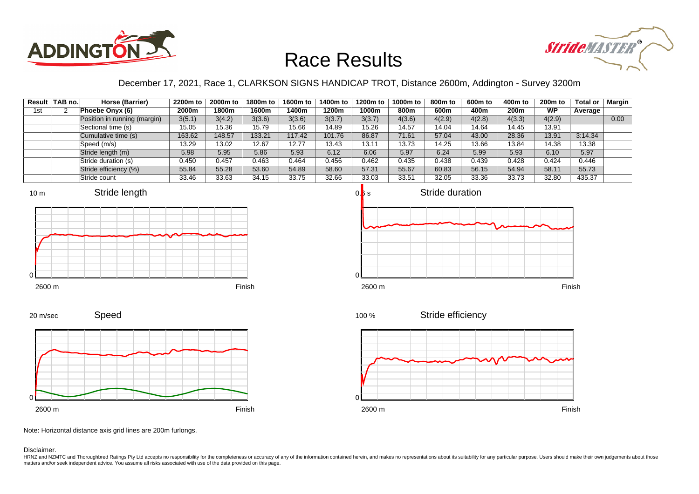



### December 17, 2021, Race 1, CLARKSON SIGNS HANDICAP TROT, Distance 2600m, Addington - Survey 3200m

|     | Result   TAB no. | Horse (Barrier)              | 2200m to | 2000m to | 1800m to | 1600m to | 1400m to | 1200m to | 1000m to | 800m to | 600m to | 400m to | 200 <sub>m</sub> to | Total or | Margin |
|-----|------------------|------------------------------|----------|----------|----------|----------|----------|----------|----------|---------|---------|---------|---------------------|----------|--------|
| 1st |                  | Phoebe Onyx (6)              | 2000m    | 1800m    | 1600m    | l 400m   | 1200m    | 1000m    | 800m     | 600m    | 400m    | 200m    | <b>WP</b>           | Average  |        |
|     |                  | Position in running (margin) | 3(5.1)   | 3(4.2)   | 3(3.6)   | 3(3.6)   | 3(3.7)   | 3(3.7)   | 4(3.6)   | 4(2.9)  | 4(2.8)  | 4(3.3)  | 4(2.9)              |          | 0.00   |
|     |                  | Sectional time (s)           | 15.05    | 15.36    | 15.79    | 15.66    | 14.89    | 15.26    | 14.57    | 14.04   | 14.64   | 14.45   | 13.91               |          |        |
|     |                  | Cumulative time (s)          | 163.62   | 148.57   | 133.21   | 117.42   | 101.76   | 86.87    | 71.61    | 57.04   | 43.00   | 28.36   | 13.91               | 3:14.34  |        |
|     |                  | Speed (m/s)                  | 13.29    | 13.02    | 12.67    | 12.77    | 13.43    | 13.11    | 13.73    | 14.25   | 13.66   | 13.84   | 14.38               | 13.38    |        |
|     |                  | Stride length (m)            | 5.98     | 5.95     | 5.86     | 5.93     | 6.12     | 6.06     | 5.97     | 6.24    | 5.99    | 5.93    | 6.10                | 5.97     |        |
|     |                  | Stride duration (s)          | 0.450    | 0.457    | 0.463    | 0.464    | 0.456    | 0.462    | 0.435    | 0.438   | 0.439   | 0.428   | 0.424               | 0.446    |        |
|     |                  | Stride efficiency (%)        | 55.84    | 55.28    | 53.60    | 54.89    | 58.60    | 57.31    | 55.67    | 60.83   | 56.15   | 54.94   | 58.11               | 55.73    |        |
|     |                  | Stride count                 | 33.46    | 33.63    | 34.15    | 33.75    | 32.66    | 33.03    | 33.51    | 32.05   | 33.36   | 33.73   | 32.80               | 435.37   |        |













Note: Horizontal distance axis grid lines are 200m furlongs.

Disclaimer.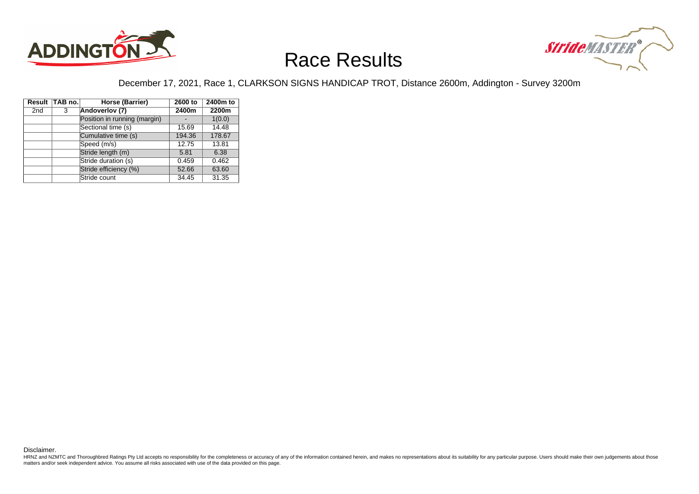



#### December 17, 2021, Race 1, CLARKSON SIGNS HANDICAP TROT, Distance 2600m, Addington - Survey 3200m

|                 | Result TAB no. | Horse (Barrier)              | 2600 to | 2400m to |
|-----------------|----------------|------------------------------|---------|----------|
| 2 <sub>nd</sub> | 3              | Andoverlov (7)               | 2400m   | 2200m    |
|                 |                | Position in running (margin) |         | 1(0.0)   |
|                 |                | Sectional time (s)           | 15.69   | 14.48    |
|                 |                | Cumulative time (s)          | 194.36  | 178.67   |
|                 |                | Speed (m/s)                  | 12.75   | 13.81    |
|                 |                | Stride length (m)            | 5.81    | 6.38     |
|                 |                | Stride duration (s)          | 0.459   | 0.462    |
|                 |                | Stride efficiency (%)        | 52.66   | 63.60    |
|                 |                | Stride count                 | 34.45   | 31.35    |

Disclaimer.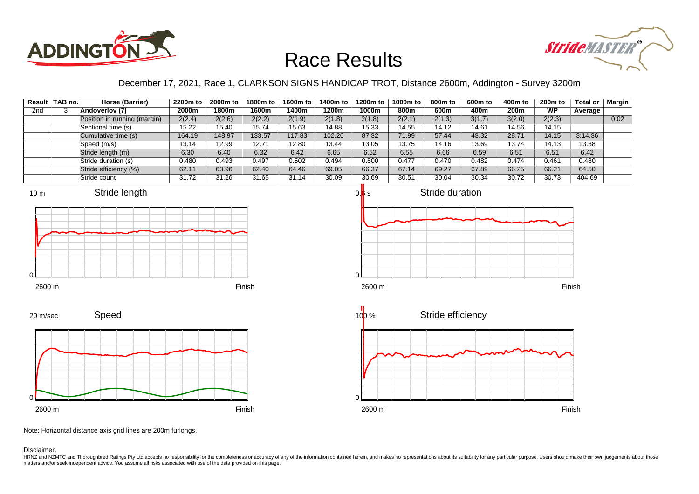



### December 17, 2021, Race 1, CLARKSON SIGNS HANDICAP TROT, Distance 2600m, Addington - Survey 3200m

| Result          | ∣TAB no.∣ | Horse (Barrier)              | 2200m to | 2000m to | 1800m to | 1600m to | 1400m to | 1200m to | 1000m to | 800m to | 600m to | 400m to | 200 <sub>m</sub> to | <b>Total or</b> | <b>Margin</b> |
|-----------------|-----------|------------------------------|----------|----------|----------|----------|----------|----------|----------|---------|---------|---------|---------------------|-----------------|---------------|
| 2 <sub>nd</sub> |           | Andoverlov (7)               | 2000m    | 1800m    | 1600m    | 400m     | 1200m    | 1000m    | 800m     | 600m    | 400m    | 200m    | <b>WP</b>           | Average         |               |
|                 |           | Position in running (margin) | 2(2.4)   | 2(2.6)   | 2(2.2)   | 2(1.9)   | 2(1.8)   | 2(1.8)   | 2(2.1)   | 2(1.3)  | 3(1.7)  | 3(2.0)  | 2(2.3)              |                 | 0.02          |
|                 |           | Sectional time (s)           | 15.22    | 15.40    | 15.74    | 15.63    | 14.88    | 15.33    | 14.55    | 14.12   | 14.61   | 14.56   | 14.15               |                 |               |
|                 |           | Cumulative time (s)          | 164.19   | 148.97   | 133.57   | 117.83   | 102.20   | 87.32    | 71.99    | 57.44   | 43.32   | 28.71   | 14.15               | 3:14.36         |               |
|                 |           | Speed (m/s)                  | 13.14    | 12.99    | 12.71    | 12.80    | 13.44    | 13.05    | 13.75    | 14.16   | 13.69   | 13.74   | 14.13               | 13.38           |               |
|                 |           | Stride length (m)            | 6.30     | 6.40     | 6.32     | 6.42     | 6.65     | 6.52     | 6.55     | 6.66    | 6.59    | 6.51    | 6.51                | 6.42            |               |
|                 |           | Stride duration (s)          | 0.480    | 0.493    | 0.497    | 0.502    | 0.494    | 0.500    | 0.477    | 0.470   | 0.482   | 0.474   | 0.461               | 0.480           |               |
|                 |           | Stride efficiency (%)        | 62.11    | 63.96    | 62.40    | 64.46    | 69.05    | 66.37    | 67.14    | 69.27   | 67.89   | 66.25   | 66.21               | 64.50           |               |
|                 |           | Stride count                 | 31.72    | 31.26    | 31.65    | 31.14    | 30.09    | 30.69    | 30.51    | 30.04   | 30.34   | 30.72   | 30.73               | 404.69          |               |













Note: Horizontal distance axis grid lines are 200m furlongs.

#### Disclaimer.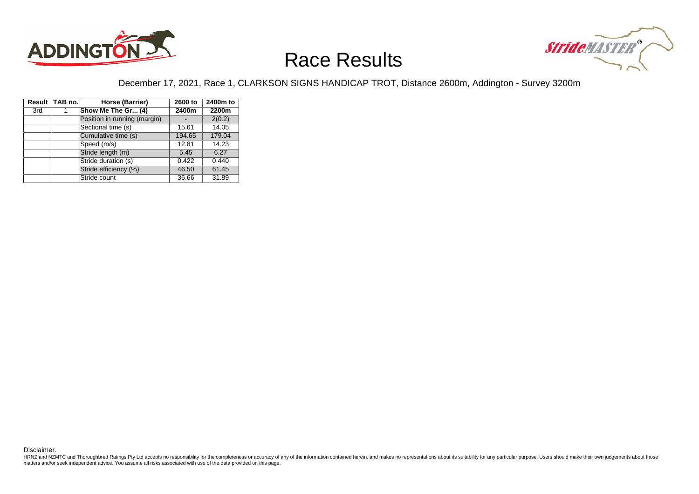



#### December 17, 2021, Race 1, CLARKSON SIGNS HANDICAP TROT, Distance 2600m, Addington - Survey 3200m

|     | Result TAB no. | Horse (Barrier)              | 2600 to | 2400m to |
|-----|----------------|------------------------------|---------|----------|
| 3rd |                | Show Me The Gr (4)           | 2400m   | 2200m    |
|     |                | Position in running (margin) |         | 2(0.2)   |
|     |                | Sectional time (s)           | 15.61   | 14.05    |
|     |                | Cumulative time (s)          | 194.65  | 179.04   |
|     |                | Speed (m/s)                  | 12.81   | 14.23    |
|     |                | Stride length (m)            | 5.45    | 6.27     |
|     |                | Stride duration (s)          | 0.422   | 0.440    |
|     |                | Stride efficiency (%)        | 46.50   | 61.45    |
|     |                | Stride count                 | 36.66   | 31.89    |

Disclaimer.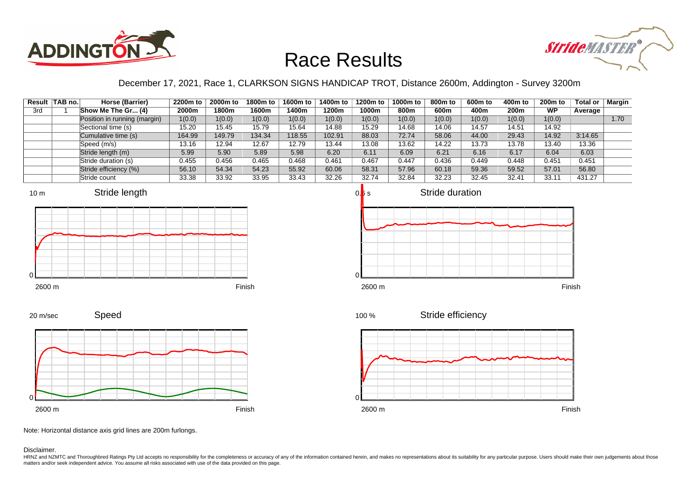



### December 17, 2021, Race 1, CLARKSON SIGNS HANDICAP TROT, Distance 2600m, Addington - Survey 3200m

|     | Result   TAB no. | Horse (Barrier)              | 2200m to | 2000m to | 1800m to | 1600m to | 1400m to | 1200m to | 1000m to | 800m to | 600m to | 400m to          | 200 <sub>m</sub> to | <b>Total or</b> | Margin |
|-----|------------------|------------------------------|----------|----------|----------|----------|----------|----------|----------|---------|---------|------------------|---------------------|-----------------|--------|
| 3rd |                  | Show Me The Gr (4)           | 2000m    | 1800m    | 1600m    | 400m     | 1200m    | 1000m    | 800m     | 600m    | 400m    | 200 <sub>m</sub> | <b>WP</b>           | Average         |        |
|     |                  | Position in running (margin) | 1(0.0)   | 1(0.0)   | 1(0.0)   | 1(0.0)   | 1(0.0)   | 1(0.0)   | 1(0.0)   | 1(0.0)  | 1(0.0)  | 1(0.0)           | 1(0.0)              |                 | 1.70   |
|     |                  | Sectional time (s)           | 15.20    | 15.45    | 15.79    | 15.64    | 14.88    | 15.29    | 14.68    | 14.06   | 14.57   | 14.51            | 14.92               |                 |        |
|     |                  | Cumulative time (s)          | 164.99   | 149.79   | 134.34   | 18.55    | 102.91   | 88.03    | 72.74    | 58.06   | 44.00   | 29.43            | 14.92               | 3:14.65         |        |
|     |                  | Speed (m/s)                  | 13.16    | 12.94    | 12.67    | 12.79    | 13.44    | 13.08    | 13.62    | 14.22   | 13.73   | 13.78            | 13.40               | 13.36           |        |
|     |                  | Stride length (m)            | 5.99     | 5.90     | 5.89     | 5.98     | 6.20     | 6.11     | 6.09     | 6.21    | 6.16    | 6.17             | 6.04                | 6.03            |        |
|     |                  | Stride duration (s)          | 0.455    | 0.456    | 0.465    | 0.468    | 0.461    | 0.467    | 0.447    | 0.436   | 0.449   | 0.448            | 0.451               | 0.451           |        |
|     |                  | Stride efficiency (%)        | 56.10    | 54.34    | 54.23    | 55.92    | 60.06    | 58.31    | 57.96    | 60.18   | 59.36   | 59.52            | 57.01               | 56.80           |        |
|     |                  | Stride count                 | 33.38    | 33.92    | 33.95    | 33.43    | 32.26    | 32.74    | 32.84    | 32.23   | 32.45   | 32.41            | 33.11               | 431.27          |        |







2600 m Finish



Note: Horizontal distance axis grid lines are 200m furlongs.

Speed

#### Disclaimer.

0

20 m/sec

HRNZ and NZMTC and Thoroughbred Ratings Pty Ltd accepts no responsibility for the completeness or accuracy of any of the information contained herein, and makes no representations about its suitability for any particular p matters and/or seek independent advice. You assume all risks associated with use of the data provided on this page.

100 %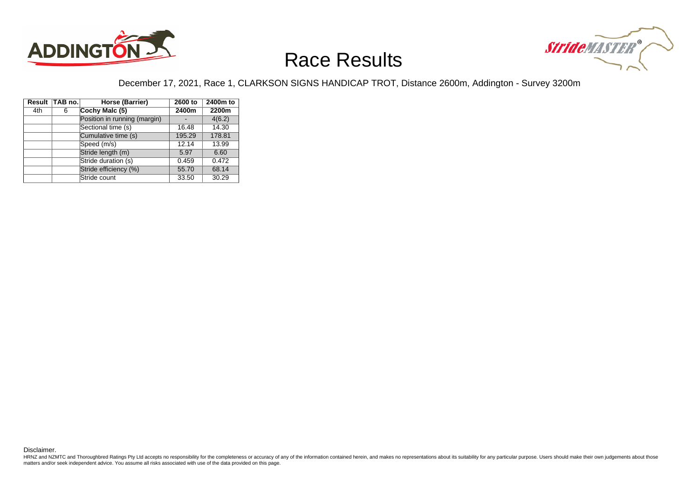



#### December 17, 2021, Race 1, CLARKSON SIGNS HANDICAP TROT, Distance 2600m, Addington - Survey 3200m

|     | Result TAB no. | Horse (Barrier)              | 2600 to | 2400m to |
|-----|----------------|------------------------------|---------|----------|
| 4th | 6              | Cochy Malc (5)               | 2400m   | 2200m    |
|     |                | Position in running (margin) |         | 4(6.2)   |
|     |                | Sectional time (s)           | 16.48   | 14.30    |
|     |                | Cumulative time (s)          | 195.29  | 178.81   |
|     |                | Speed (m/s)                  | 12.14   | 13.99    |
|     |                | Stride length (m)            | 5.97    | 6.60     |
|     |                | Stride duration (s)          | 0.459   | 0.472    |
|     |                | Stride efficiency (%)        | 55.70   | 68.14    |
|     |                | Stride count                 | 33.50   | 30.29    |

Disclaimer.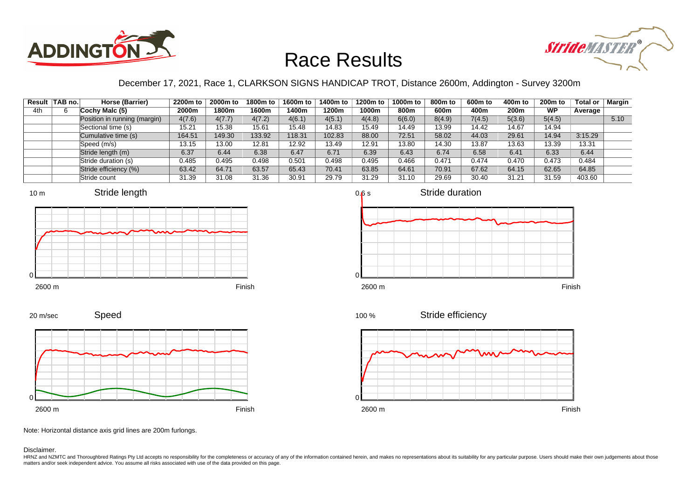



### December 17, 2021, Race 1, CLARKSON SIGNS HANDICAP TROT, Distance 2600m, Addington - Survey 3200m

|     | Result TAB no. | Horse (Barrier)              | 2200m to | 2000m to | 1800m to | 1600m to | 1400m to | 1200m to | 1000m to | 800m to | 600m to | 400m to | 200 <sub>m</sub> to | <b>Total or</b> | <b>Margin</b> |
|-----|----------------|------------------------------|----------|----------|----------|----------|----------|----------|----------|---------|---------|---------|---------------------|-----------------|---------------|
| 4th |                | Cochy Malc (5)               | 2000m    | 1800m    | 1600m    | l 400m   | 1200m    | 1000m    | 800m     | 600m    | 400m    | 200m    | <b>WP</b>           | Average         |               |
|     |                | Position in running (margin) | 4(7.6)   | 4(7.7)   | 4(7.2)   | 4(6.1)   | 4(5.1)   | 4(4.8)   | 6(6.0)   | 8(4.9)  | 7(4.5)  | 5(3.6)  | 5(4.5)              |                 | 5.10          |
|     |                | Sectional time (s)           | 15.21    | 15.38    | 15.61    | 15.48    | 14.83    | 15.49    | 14.49    | 13.99   | 14.42   | 14.67   | 14.94               |                 |               |
|     |                | Cumulative time (s)          | 164.51   | 149.30   | 133.92   | 118.31   | 102.83   | 88.00    | 72.51    | 58.02   | 44.03   | 29.61   | 14.94               | 3:15.29         |               |
|     |                | Speed (m/s)                  | 13.15    | 13.00    | 12.81    | 12.92    | 13.49    | 12.91    | 13.80    | 14.30   | 13.87   | 13.63   | 13.39               | 13.31           |               |
|     |                | Stride length (m)            | 6.37     | 6.44     | 6.38     | 6.47     | 6.71     | 6.39     | 6.43     | 6.74    | 6.58    | 6.41    | 6.33                | 6.44            |               |
|     |                | Stride duration (s)          | 0.485    | 0.495    | 0.498    | 0.501    | 0.498    | 0.495    | 0.466    | 0.471   | 0.474   | 0.470   | 0.473               | 0.484           |               |
|     |                | Stride efficiency (%)        | 63.42    | 64.71    | 63.57    | 65.43    | 70.41    | 63.85    | 64.61    | 70.91   | 67.62   | 64.15   | 62.65               | 64.85           |               |
|     |                | Stride count                 | 31.39    | 31.08    | 31.36    | 30.91    | 29.79    | 31.29    | 31.10    | 29.69   | 30.40   | 31.21   | 31.59               | 403.60          |               |





20 m/sec

Speed





Stride efficiency 100 %



Note: Horizontal distance axis grid lines are 200m furlongs.

Disclaimer.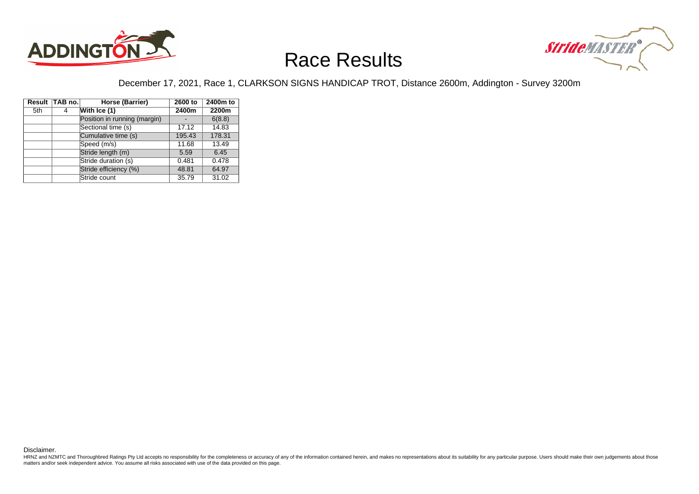



#### December 17, 2021, Race 1, CLARKSON SIGNS HANDICAP TROT, Distance 2600m, Addington - Survey 3200m

|     | Result TAB no. | Horse (Barrier)              | 2600 to | 2400m to |
|-----|----------------|------------------------------|---------|----------|
| 5th | 4              | With Ice (1)                 | 2400m   | 2200m    |
|     |                | Position in running (margin) |         | 6(8.8)   |
|     |                | Sectional time (s)           | 17.12   | 14.83    |
|     |                | Cumulative time (s)          | 195.43  | 178.31   |
|     |                | Speed (m/s)                  | 11.68   | 13.49    |
|     |                | Stride length (m)            | 5.59    | 6.45     |
|     |                | Stride duration (s)          | 0.481   | 0.478    |
|     |                | Stride efficiency (%)        | 48.81   | 64.97    |
|     |                | Stride count                 | 35.79   | 31.02    |

Disclaimer.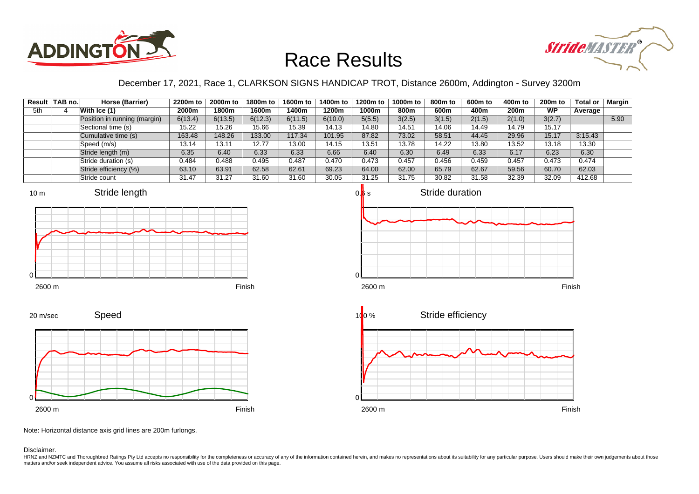



### December 17, 2021, Race 1, CLARKSON SIGNS HANDICAP TROT, Distance 2600m, Addington - Survey 3200m

|     | Result   TAB no. | Horse (Barrier)              | 2200m to | 2000m to | 1800m to | 1600m to | 1400m to | 1200m to | 1000m to | 800m to | 600m to | 400m to          | <b>200m to</b> | <b>Total or</b> | Margin |
|-----|------------------|------------------------------|----------|----------|----------|----------|----------|----------|----------|---------|---------|------------------|----------------|-----------------|--------|
| 5th |                  | With $\textsf{lce}(1)$       | 2000m    | 1800m    | 1600m    | 400m     | 1200m    | 1000m    | 800m     | 600m    | 400m    | 200 <sub>m</sub> | <b>WP</b>      | Average         |        |
|     |                  | Position in running (margin) | 6(13.4)  | 6(13.5)  | 6(12.3)  | 6(11.5)  | 6(10.0)  | 5(5.5)   | 3(2.5)   | 3(1.5)  | 2(1.5)  | 2(1.0)           | 3(2.7)         |                 | 5.90   |
|     |                  | Sectional time (s)           | 15.22    | 15.26    | 15.66    | 15.39    | 14.13    | 14.80    | 14.51    | 14.06   | 14.49   | 14.79            | 15.17          |                 |        |
|     |                  | Cumulative time (s)          | 163.48   | 148.26   | 133.00   | 117.34   | 101.95   | 87.82    | 73.02    | 58.51   | 44.45   | 29.96            | 15.17          | 3:15.43         |        |
|     |                  | Speed (m/s)                  | 13.14    | 13.11    | 12.77    | 13.00    | 14.15    | 13.51    | 13.78    | 14.22   | 13.80   | 13.52            | 13.18          | 13.30           |        |
|     |                  | Stride length (m)            | 6.35     | 6.40     | 6.33     | 6.33     | 6.66     | 6.40     | 6.30     | 6.49    | 6.33    | 6.17             | 6.23           | 6.30            |        |
|     |                  | Stride duration (s)          | 0.484    | 0.488    | 0.495    | 0.487    | 0.470    | 0.473    | 0.457    | 0.456   | 0.459   | 0.457            | 0.473          | 0.474           |        |
|     |                  | Stride efficiency (%)        | 63.10    | 63.91    | 62.58    | 62.61    | 69.23    | 64.00    | 62.00    | 65.79   | 62.67   | 59.56            | 60.70          | 62.03           |        |
|     |                  | Stride count                 | 31.47    | 31.27    | 31.60    | 31.60    | 30.05    | 31.25    | 31.75    | 30.82   | 31.58   | 32.39            | 32.09          | 412.68          |        |













Note: Horizontal distance axis grid lines are 200m furlongs.

#### Disclaimer.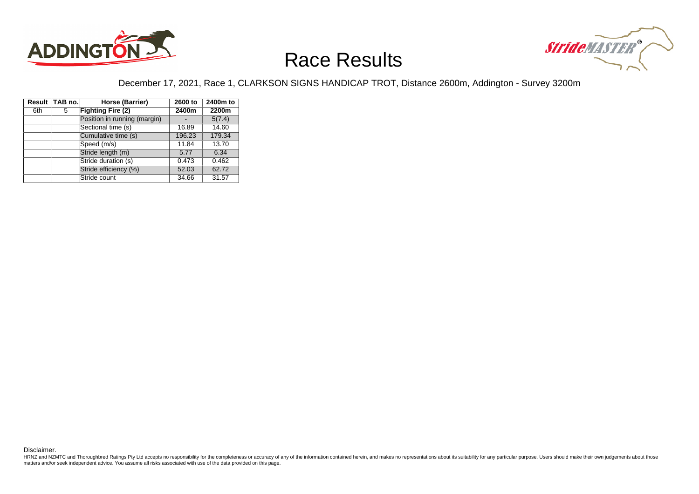



#### December 17, 2021, Race 1, CLARKSON SIGNS HANDICAP TROT, Distance 2600m, Addington - Survey 3200m

|     | Result TAB no. | Horse (Barrier)              | 2600 to | 2400m to |
|-----|----------------|------------------------------|---------|----------|
| 6th | 5              | <b>Fighting Fire (2)</b>     | 2400m   | 2200m    |
|     |                | Position in running (margin) |         | 5(7.4)   |
|     |                | Sectional time (s)           | 16.89   | 14.60    |
|     |                | Cumulative time (s)          | 196.23  | 179.34   |
|     |                | Speed (m/s)                  | 11.84   | 13.70    |
|     |                | Stride length (m)            | 5.77    | 6.34     |
|     |                | Stride duration (s)          | 0.473   | 0.462    |
|     |                | Stride efficiency (%)        | 52.03   | 62.72    |
|     |                | Stride count                 | 34.66   | 31.57    |

Disclaimer.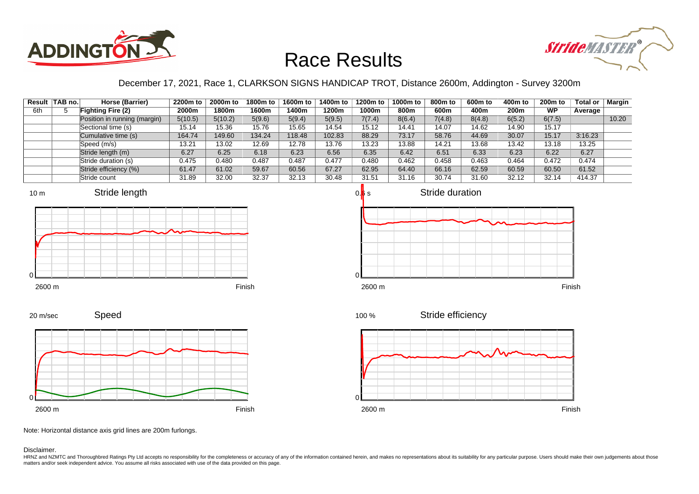



### December 17, 2021, Race 1, CLARKSON SIGNS HANDICAP TROT, Distance 2600m, Addington - Survey 3200m

|     | Result   TAB no. | Horse (Barrier)              | 2200m to | 2000m to | 1800m to | 1600m to | 1400m to | 1200m to | 1000m to | 800m to | 600m to | 400m to          | 200 <sub>m</sub> to | Total or | Margin |
|-----|------------------|------------------------------|----------|----------|----------|----------|----------|----------|----------|---------|---------|------------------|---------------------|----------|--------|
| 6th |                  | <b>Fighting Fire (2)</b>     | 2000m    | 1800m    | 1600m    | 400m     | 1200m    | 1000m    | 800m     | 600m    | 400m    | 200 <sub>m</sub> | <b>WP</b>           | Average  |        |
|     |                  | Position in running (margin) | 5(10.5)  | 5(10.2)  | 5(9.6)   | 5(9.4)   | 5(9.5)   | 7(7.4)   | 8(6.4)   | 7(4.8)  | 8(4.8)  | 6(5.2)           | 6(7.5)              |          | 10.20  |
|     |                  | Sectional time (s)           | 15.14    | 15.36    | 15.76    | 15.65    | 14.54    | 15.12    | 14.41    | 14.07   | 14.62   | 14.90            | 15.17               |          |        |
|     |                  | Cumulative time (s)          | 164.74   | 149.60   | 134.24   | 18.48    | 102.83   | 88.29    | 73.17    | 58.76   | 44.69   | 30.07            | 15.17               | 3:16.23  |        |
|     |                  | Speed (m/s)                  | 13.21    | 13.02    | 12.69    | 12.78    | 13.76    | 13.23    | 13.88    | 14.21   | 13.68   | 13.42            | 13.18               | 13.25    |        |
|     |                  | Stride length (m)            | 6.27     | 6.25     | 6.18     | 6.23     | 6.56     | 6.35     | 6.42     | 6.51    | 6.33    | 6.23             | 6.22                | 6.27     |        |
|     |                  | Stride duration (s)          | 0.475    | 0.480    | 0.487    | 0.487    | 0.477    | 0.480    | 0.462    | 0.458   | 0.463   | 0.464            | 0.472               | 0.474    |        |
|     |                  | Stride efficiency (%)        | 61.47    | 61.02    | 59.67    | 60.56    | 67.27    | 62.95    | 64.40    | 66.16   | 62.59   | 60.59            | 60.50               | 61.52    |        |
|     |                  | Stride count                 | 31.89    | 32.00    | 32.37    | 32.13    | 30.48    | 31.51    | 31.16    | 30.74   | 31.60   | 32.12            | 32.14               | 414.37   |        |







Speed 2600 m Finish 0





Note: Horizontal distance axis grid lines are 200m furlongs.

#### Disclaimer.

20 m/sec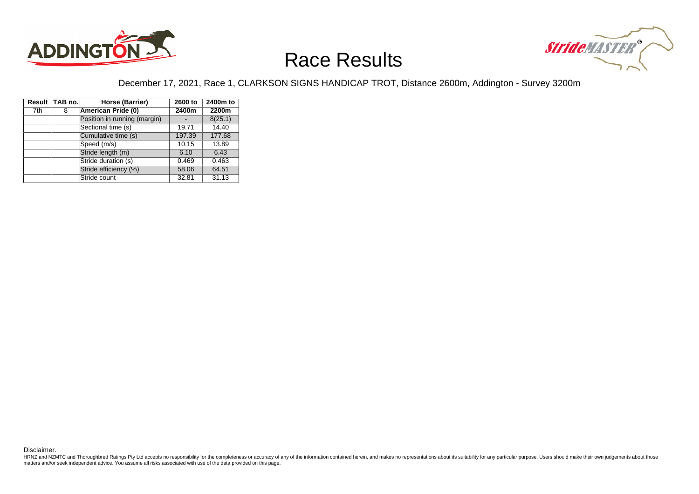



#### December 17, 2021, Race 1, CLARKSON SIGNS HANDICAP TROT, Distance 2600m, Addington - Survey 3200m

|     | Result TAB no. | Horse (Barrier)              | 2600 to | 2400m to |
|-----|----------------|------------------------------|---------|----------|
| 7th | 8              | American Pride (0)           | 2400m   | 2200m    |
|     |                | Position in running (margin) |         | 8(25.1)  |
|     |                | Sectional time (s)           | 19.71   | 14.40    |
|     |                | Cumulative time (s)          | 197.39  | 177.68   |
|     |                | Speed (m/s)                  | 10.15   | 13.89    |
|     |                | Stride length (m)            | 6.10    | 6.43     |
|     |                | Stride duration (s)          | 0.469   | 0.463    |
|     |                | Stride efficiency (%)        | 58.06   | 64.51    |
|     |                | Stride count                 | 32.81   | 31.13    |

Disclaimer.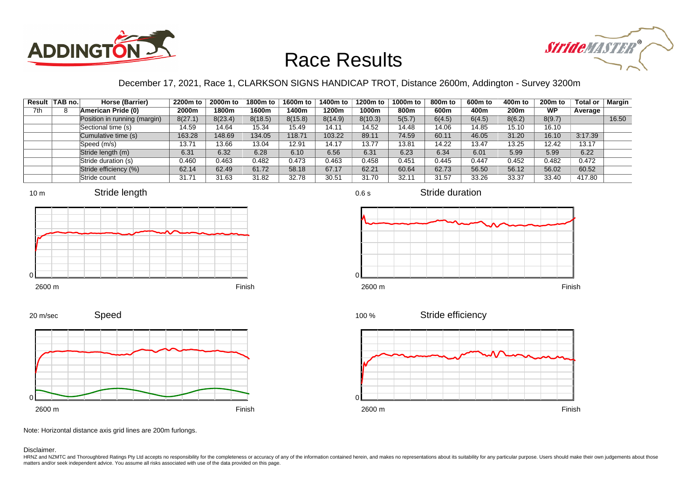



### December 17, 2021, Race 1, CLARKSON SIGNS HANDICAP TROT, Distance 2600m, Addington - Survey 3200m

| Result | ∣TAB no.∣ | Horse (Barrier)              | 2200m to | 2000m to | 1800m to | 1600m to | 1400m to | 1200m to | 1000m to | 800m to | 600m to | 400m to          | <b>200m to</b> | <b>Total or</b> | Margin |
|--------|-----------|------------------------------|----------|----------|----------|----------|----------|----------|----------|---------|---------|------------------|----------------|-----------------|--------|
| 7th    |           | American Pride (0)           | 2000m    | 1800m    | 1600m    | l 400m   | 1200m    | 1000m    | 800m     | 600m    | 400m    | 200 <sub>m</sub> | <b>WP</b>      | Average         |        |
|        |           | Position in running (margin) | 8(27.1)  | 8(23.4)  | 8(18.5)  | 8(15.8)  | 8(14.9)  | 8(10.3)  | 5(5.7)   | 6(4.5)  | 6(4.5)  | 8(6.2)           | 8(9.7)         |                 | 16.50  |
|        |           | Sectional time (s)           | 14.59    | 14.64    | 15.34    | 15.49    | 14.11    | 14.52    | 14.48    | 14.06   | 14.85   | 15.10            | 16.10          |                 |        |
|        |           | Cumulative time (s)          | 163.28   | 148.69   | 134.05   | 118.71   | 103.22   | 89.11    | 74.59    | 60.11   | 46.05   | 31.20            | 16.10          | 3:17.39         |        |
|        |           | Speed (m/s)                  | 13.71    | 13.66    | 13.04    | 12.91    | 14.17    | 13.77    | 13.81    | 14.22   | 13.47   | 13.25            | 12.42          | 13.17           |        |
|        |           | Stride length (m)            | 6.31     | 6.32     | 6.28     | 6.10     | 6.56     | 6.31     | 6.23     | 6.34    | 6.01    | 5.99             | 5.99           | 6.22            |        |
|        |           | Stride duration (s)          | 0.460    | 0.463    | 0.482    | 0.473    | 0.463    | 0.458    | 0.451    | 0.445   | 0.447   | 0.452            | 0.482          | 0.472           |        |
|        |           | Stride efficiency (%)        | 62.14    | 62.49    | 61.72    | 58.18    | 67.17    | 62.21    | 60.64    | 62.73   | 56.50   | 56.12            | 56.02          | 60.52           |        |
|        |           | Stride count                 | 31.71    | 31.63    | 31.82    | 32.78    | 30.51    | 31.70    | 32.11    | 31.57   | 33.26   | 33.37            | 33.40          | 417.80          |        |



















Note: Horizontal distance axis grid lines are 200m furlongs.

Disclaimer.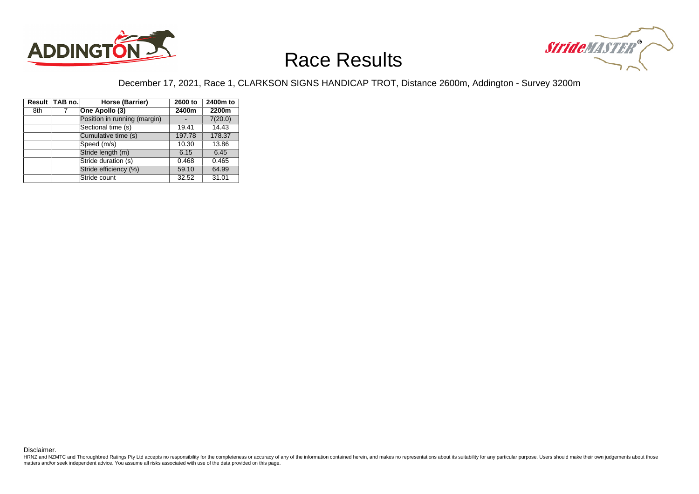



#### December 17, 2021, Race 1, CLARKSON SIGNS HANDICAP TROT, Distance 2600m, Addington - Survey 3200m

|     | Result TAB no. | Horse (Barrier)              | 2600 to | 2400m to |
|-----|----------------|------------------------------|---------|----------|
| 8th | 7              | One Apollo (3)               | 2400m   | 2200m    |
|     |                | Position in running (margin) |         | 7(20.0)  |
|     |                | Sectional time (s)           | 19.41   | 14.43    |
|     |                | Cumulative time (s)          | 197.78  | 178.37   |
|     |                | Speed (m/s)                  | 10.30   | 13.86    |
|     |                | Stride length (m)            | 6.15    | 6.45     |
|     |                | Stride duration (s)          | 0.468   | 0.465    |
|     |                | Stride efficiency (%)        | 59.10   | 64.99    |
|     |                | Stride count                 | 32.52   | 31.01    |

Disclaimer.